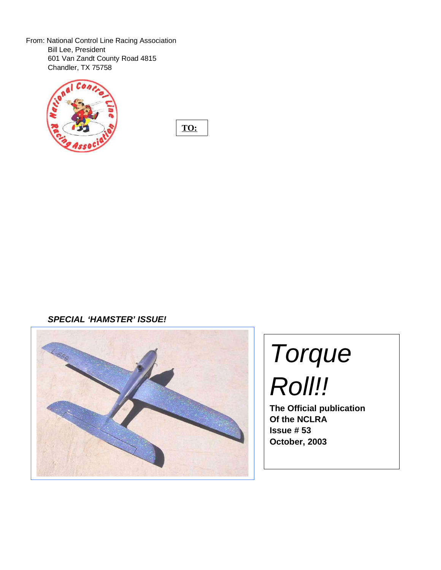From: National Control Line Racing Association Bill Lee, President 601 Van Zandt County Road 4815 Chandler, TX 75758



**TO:**

**SPECIAL 'HAMSTER' ISSUE!**



# Torque Roll!!

**The Official publication Of the NCLRA Issue # 53 October, 2003**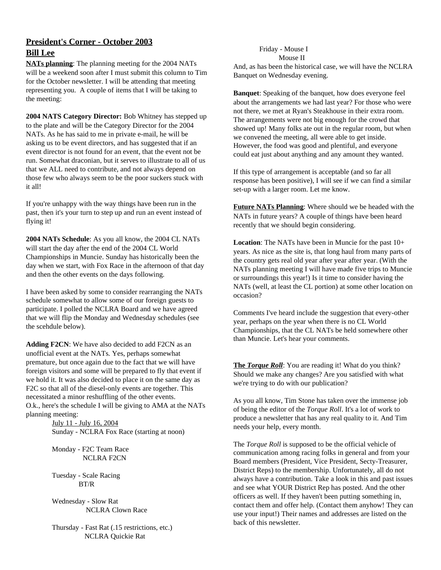## **President's Corner - October 2003 Bill Lee**

**NATs planning**: The planning meeting for the 2004 NATs will be a weekend soon after I must submit this column to Tim for the October newsletter. I will be attending that meeting representing you. A couple of items that I will be taking to the meeting:

**2004 NATS Category Director:** Bob Whitney has stepped up to the plate and will be the Category Director for the 2004 NATs. As he has said to me in private e-mail, he will be asking us to be event directors, and has suggested that if an event director is not found for an event, that the event not be run. Somewhat draconian, but it serves to illustrate to all of us that we ALL need to contribute, and not always depend on those few who always seem to be the poor suckers stuck with it all!

If you're unhappy with the way things have been run in the past, then it's your turn to step up and run an event instead of flying it!

**2004 NATs Schedule**: As you all know, the 2004 CL NATs will start the day after the end of the 2004 CL World Championships in Muncie. Sunday has historically been the day when we start, with Fox Race in the afternoon of that day and then the other events on the days following.

I have been asked by some to consider rearranging the NATs schedule somewhat to allow some of our foreign guests to participate. I polled the NCLRA Board and we have agreed that we will flip the Monday and Wednesday schedules (see the scehdule below).

**Adding F2CN**: We have also decided to add F2CN as an unofficial event at the NATs. Yes, perhaps somewhat premature, but once again due to the fact that we will have foreign visitors and some will be prepared to fly that event if we hold it. It was also decided to place it on the same day as F2C so that all of the diesel-only events are together. This necessitated a minor reshuffling of the other events. O.k., here's the schedule I will be giving to AMA at the NATs planning meeting:

> July 11 - July 16, 2004 Sunday - NCLRA Fox Race (starting at noon)

Monday - F2C Team Race NCLRA F2CN

Tuesday - Scale Racing BT/R

Wednesday - Slow Rat NCLRA Clown Race

Thursday - Fast Rat (.15 restrictions, etc.) NCLRA Quickie Rat

## Friday - Mouse I

Mouse II And, as has been the historical case, we will have the NCLRA Banquet on Wednesday evening.

**Banquet**: Speaking of the banquet, how does everyone feel about the arrangements we had last year? For those who were not there, we met at Ryan's Steakhouse in their extra room. The arrangements were not big enough for the crowd that showed up! Many folks ate out in the regular room, but when we convened the meeting, all were able to get inside. However, the food was good and plentiful, and everyone could eat just about anything and any amount they wanted.

If this type of arrangement is acceptable (and so far all response has been positive), I will see if we can find a similar set-up with a larger room. Let me know.

**Future NATs Planning**: Where should we be headed with the NATs in future years? A couple of things have been heard recently that we should begin considering.

**Location**: The NATs have been in Muncie for the past 10+ years. As nice as the site is, that long haul from many parts of the country gets real old year after year after year. (With the NATs planning meeting I will have made five trips to Muncie or surroundings this year!) Is it time to consider having the NATs (well, at least the CL portion) at some other location on occasion?

Comments I've heard include the suggestion that every-other year, perhaps on the year when there is no CL World Championships, that the CL NATs be held somewhere other than Muncie. Let's hear your comments.

**The** *Torque Roll*: You are reading it! What do you think? Should we make any changes? Are you satisfied with what we're trying to do with our publication?

As you all know, Tim Stone has taken over the immense job of being the editor of the *Torque Roll*. It's a lot of work to produce a newsletter that has any real quality to it. And Tim needs your help, every month.

The *Torque Roll* is supposed to be the official vehicle of communication among racing folks in general and from your Board members (President, Vice President, Secty-Treasurer, District Reps) to the membership. Unfortunately, all do not always have a contribution. Take a look in this and past issues and see what YOUR District Rep has posted. And the other officers as well. If they haven't been putting something in, contact them and offer help. (Contact them anyhow! They can use your input!) Their names and addresses are listed on the back of this newsletter.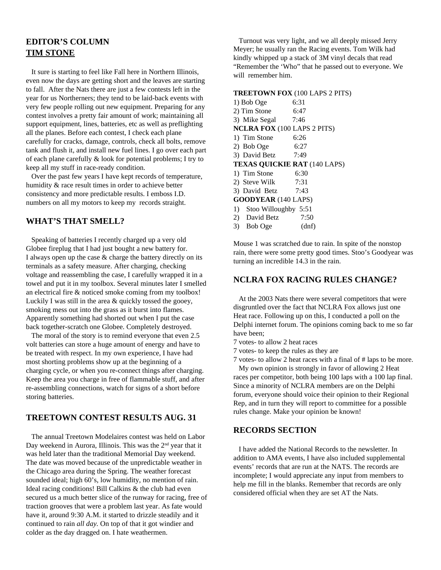## **EDITOR'S COLUMN TIM STONE**

It sure is starting to feel like Fall here in Northern Illinois, even now the days are getting short and the leaves are starting to fall. After the Nats there are just a few contests left in the year for us Northerners; they tend to be laid-back events with very few people rolling out new equipment. Preparing for any contest involves a pretty fair amount of work; maintaining all support equipment, lines, batteries, etc as well as preflighting all the planes. Before each contest, I check each plane carefully for cracks, damage, controls, check all bolts, remove tank and flush it, and install new fuel lines. I go over each part of each plane carefully & look for potential problems; I try to keep all my stuff in race-ready condition.

Over the past few years I have kept records of temperature, humidity & race result times in order to achieve better consistency and more predictable results. I emboss I.D. numbers on all my motors to keep my records straight.

## **WHAT'S THAT SMELL?**

Speaking of batteries I recently charged up a very old Globee fireplug that I had just bought a new battery for. I always open up the case & charge the battery directly on its terminals as a safety measure. After charging, checking voltage and reassembling the case, I carefully wrapped it in a towel and put it in my toolbox. Several minutes later I smelled an electrical fire & noticed smoke coming from my toolbox! Luckily I was still in the area & quickly tossed the gooey, smoking mess out into the grass as it burst into flames. Apparently something had shorted out when I put the case back together-scratch one Globee. Completely destroyed.

The moral of the story is to remind everyone that even 2.5 volt batteries can store a huge amount of energy and have to be treated with respect. In my own experience, I have had most shorting problems show up at the beginning of a charging cycle, or when you re-connect things after charging. Keep the area you charge in free of flammable stuff, and after re-assembling connections, watch for signs of a short before storing batteries.

## **TREETOWN CONTEST RESULTS AUG. 31**

The annual Treetown Modelaires contest was held on Labor Day weekend in Aurora, Illinois. This was the 2<sup>nd</sup> year that it was held later than the traditional Memorial Day weekend. The date was moved because of the unpredictable weather in the Chicago area during the Spring. The weather forecast sounded ideal; high 60's, low humidity, no mention of rain. Ideal racing conditions! Bill Calkins & the club had even secured us a much better slice of the runway for racing, free of traction grooves that were a problem last year. As fate would have it, around 9:30 A.M. it started to drizzle steadily and it continued to rain *all day.* On top of that it got windier and colder as the day dragged on. I hate weathermen.

Turnout was very light, and we all deeply missed Jerry Meyer; he usually ran the Racing events. Tom Wilk had kindly whipped up a stack of 3M vinyl decals that read "Remember the 'Who" that he passed out to everyone. We will remember him.

#### **TREETOWN FOX** (100 LAPS 2 PITS)

| 1) Bob Oge                          | 6:31  |
|-------------------------------------|-------|
| 2) Tim Stone<br>6:47                |       |
| 3) Mike Segal 7:46                  |       |
| <b>NCLRA FOX</b> (100 LAPS 2 PITS)  |       |
| 1) Tim Stone                        | 6:26  |
| 2) Bob Oge                          | 6:27  |
| 3) David Betz 7:49                  |       |
| <b>TEXAS QUICKIE RAT (140 LAPS)</b> |       |
| 1) Tim Stone                        | 6:30  |
| 2) Steve Wilk $7:31$                |       |
| 3) David Betz 7:43                  |       |
| <b>GOODYEAR</b> (140 LAPS)          |       |
| 1) Stoo Willoughby 5:51             |       |
| 2) David Betz                       | 7:50  |
| 3) Bob Oge                          | (dnf) |
|                                     |       |

Mouse 1 was scratched due to rain. In spite of the nonstop rain, there were some pretty good times. Stoo's Goodyear was turning an incredible 14.3 in the rain.

## **NCLRA FOX RACING RULES CHANGE?**

At the 2003 Nats there were several competitors that were disgruntled over the fact that NCLRA Fox allows just one Heat race. Following up on this, I conducted a poll on the Delphi internet forum. The opinions coming back to me so far have been;

- 7 votes- to allow 2 heat races
- 7 votes- to keep the rules as they are

7 votes- to allow 2 heat races with a final of # laps to be more. My own opinion is strongly in favor of allowing 2 Heat races per competitor, both being 100 laps with a 100 lap final. Since a minority of NCLRA members are on the Delphi

forum, everyone should voice their opinion to their Regional Rep, and in turn they will report to committee for a possible rules change. Make your opinion be known!

#### **RECORDS SECTION**

I have added the National Records to the newsletter. In addition to AMA events, I have also included supplemental events' records that are run at the NATS. The records are incomplete; I would appreciate any input from members to help me fill in the blanks. Remember that records are only considered official when they are set AT the Nats.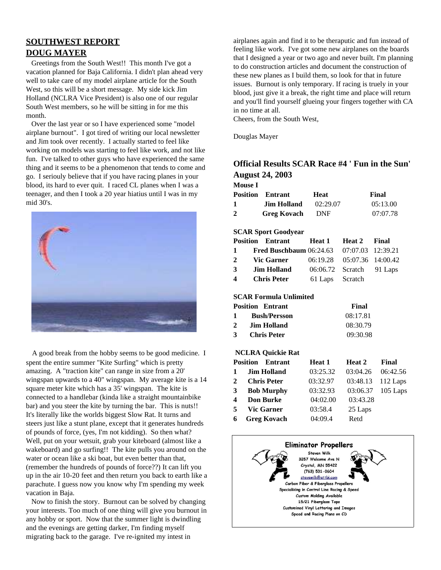## **SOUTHWEST REPORT DOUG MAYER**

Greetings from the South West!! This month I've got a vacation planned for Baja California. I didn't plan ahead very well to take care of my model airplane article for the South West, so this will be a short message. My side kick Jim Holland (NCLRA Vice President) is also one of our regular South West members, so he will be sitting in for me this month.

Over the last year or so I have experienced some "model airplane burnout". I got tired of writing our local newsletter and Jim took over recently. I actually started to feel like working on models was starting to feel like work, and not like fun. I've talked to other guys who have experienced the same thing and it seems to be a phenomenon that tends to come and go. I seriouly believe that if you have racing planes in your blood, its hard to ever quit. I raced CL planes when I was a teenager, and then I took a 20 year hiatius until I was in my mid 30's.



A good break from the hobby seems to be good medicine. I spent the entire summer "Kite Surfing" which is pretty amazing. A "traction kite" can range in size from a 20' wingspan upwards to a 40" wingspan. My average kite is a 14 square meter kite which has a 35' wingspan. The kite is connected to a handlebar (kinda like a straight mountainbike bar) and you steer the kite by turning the bar. This is nuts!! It's literally like the worlds biggest Slow Rat. It turns and steers just like a stunt plane, except that it generates hundreds of pounds of force, (yes, I'm not kidding). So then what? Well, put on your wetsuit, grab your kiteboard (almost like a wakeboard) and go surfing!! The kite pulls you around on the water or ocean like a ski boat, but even better than that, (remember the hundreds of pounds of force??) It can lift you up in the air 10-20 feet and then return you back to earth like a parachute. I guess now you know why I'm spending my week vacation in Baja.

Now to finish the story. Burnout can be solved by changing your interests. Too much of one thing will give you burnout in any hobby or sport. Now that the summer light is dwindling and the evenings are getting darker, I'm finding myself migrating back to the garage. I've re-ignited my intest in

airplanes again and find it to be theraputic and fun instead of feeling like work. I've got some new airplanes on the boards that I designed a year or two ago and never built. I'm planning to do construction articles and document the construction of these new planes as I build them, so look for that in future issues. Burnout is only temporary. If racing is truely in your blood, just give it a break, the right time and place will return and you'll find yourself glueing your fingers together with CA in no time at all.

Cheers, from the South West,

Douglas Mayer

## **Official Results SCAR Race #4 ' Fun in the Sun' August 24, 2003**

| <b>Mouse I</b> |                         |            |          |
|----------------|-------------------------|------------|----------|
|                | <b>Position Entrant</b> | Heat       | Final    |
| 1              | Jim Holland             | 02:29.07   | 05:13.00 |
| $\mathbf{2}$   | <b>Greg Kovach</b>      | <b>DNF</b> | 07:07.78 |

#### **SCAR Sport Goodyear**

|                         | <b>Position Entrant Heat 1</b>                       |                 | Heat 2 Final               |  |
|-------------------------|------------------------------------------------------|-----------------|----------------------------|--|
| $\mathbf{1}$            | <b>Fred Buschbaum</b> $06:24.63$ $07:07.03$ 12:39.21 |                 |                            |  |
| $2^{\circ}$             | <b>Vic Garner</b>                                    |                 | 06:19.28 05:07.36 14:00.42 |  |
| 3                       | <b>Jim Holland</b>                                   |                 | 06:06.72 Scratch 91 Laps   |  |
| $\overline{\mathbf{4}}$ | <b>Chris Peter</b>                                   | 61 Laps Scratch |                            |  |

#### **SCAR Formula Unlimited**

|              | <b>Position Entrant</b> | Final    |
|--------------|-------------------------|----------|
| $\mathbf{1}$ | <b>Bush/Persson</b>     | 08:17.81 |
| 2            | Jim Holland             | 08:30.79 |
| 3            | <b>Chris Peter</b>      | 09:30.98 |

#### **NCLRA Quickie Rat**

|   | <b>Position</b> Entrant | Heat 1   | Heat 2   | Final      |
|---|-------------------------|----------|----------|------------|
| 1 | <b>Jim Holland</b>      | 03:25.32 | 03:04.26 | 06:42.56   |
| 2 | <b>Chris Peter</b>      | 03:32.97 | 03:48.13 | 112 Laps   |
| 3 | <b>Bob Murphy</b>       | 03:32.93 | 03:06.37 | $105$ Laps |
| 4 | <b>Don Burke</b>        | 04:02.00 | 03:43.28 |            |
| 5 | <b>Vic Garner</b>       | 03:58.4  | 25 Laps  |            |
| 6 | <b>Greg Kovach</b>      | 04:09.4  | Retd     |            |

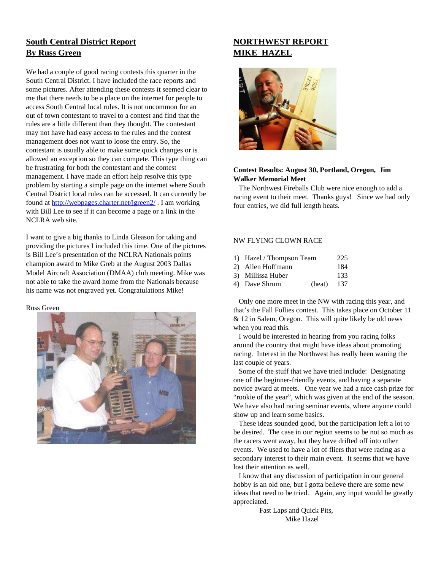## **South Central District Report By Russ Green**

We had a couple of good racing contests this quarter in the South Central District. I have included the race reports and some pictures. After attending these contests it seemed clear to me that there needs to be a place on the internet for people to access South Central local rules. It is not uncommon for an out of town contestant to travel to a contest and find that the rules are a little different than they thought. The contestant may not have had easy access to the rules and the contest management does not want to loose the entry. So, the contestant is usually able to make some quick changes or is allowed an exception so they can compete. This type thing can be frustrating for both the contestant and the contest management. I have made an effort help resolve this type problem by starting a simple page on the internet where South Central District local rules can be accessed. It can currently be found at http://webpages.charter.net/jgreen2/ . I am working with Bill Lee to see if it can become a page or a link in the NCLRA web site.

I want to give a big thanks to Linda Gleason for taking and providing the pictures I included this time. One of the pictures is Bill Lee's presentation of the NCLRA Nationals points champion award to Mike Greb at the August 2003 Dallas Model Aircraft Association (DMAA) club meeting. Mike was not able to take the award home from the Nationals because his name was not engraved yet. Congratulations Mike!

#### Russ Green



## **NORTHWEST REPORT MIKE HAZEL**



#### **Contest Results: August 30, Portland, Oregon, Jim Walker Memorial Meet**

The Northwest Fireballs Club were nice enough to add a racing event to their meet. Thanks guys! Since we had only four entries, we did full length heats.

#### NW FLYING CLOWN RACE

| 1) Hazel / Thompson Team |        | 225  |
|--------------------------|--------|------|
| 2) Allen Hoffmann        |        | 184  |
| 3) Millissa Huber        |        | 133. |
| 4) Dave Shrum            | (heat) | 137  |

Only one more meet in the NW with racing this year, and that's the Fall Follies contest. This takes place on October 11 & 12 in Salem, Oregon. This will quite likely be old news when you read this.

I would be interested in hearing from you racing folks around the country that might have ideas about promoting racing. Interest in the Northwest has really been waning the last couple of years.

Some of the stuff that we have tried include: Designating one of the beginner-friendly events, and having a separate novice award at meets. One year we had a nice cash prize for "rookie of the year", which was given at the end of the season. We have also had racing seminar events, where anyone could show up and learn some basics.

These ideas sounded good, but the participation left a lot to be desired. The case in our region seems to be not so much as the racers went away, but they have drifted off into other events. We used to have a lot of fliers that were racing as a secondary interest to their main event. It seems that we have lost their attention as well.

I know that any discussion of participation in our general hobby is an old one, but I gotta believe there are some new ideas that need to be tried. Again, any input would be greatly appreciated.

> Fast Laps and Quick Pits, Mike Hazel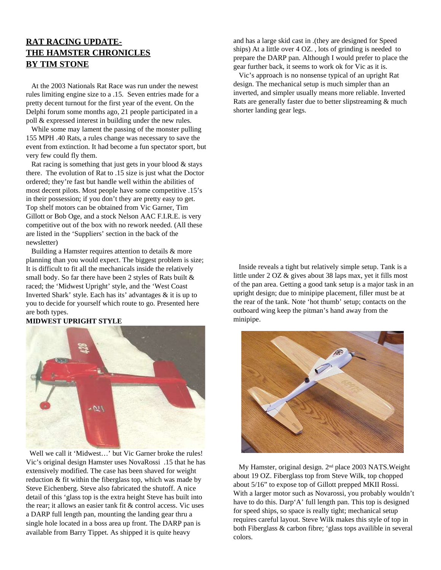## **RAT RACING UPDATE-THE HAMSTER CHRONICLES BY TIM STONE**

At the 2003 Nationals Rat Race was run under the newest rules limiting engine size to a .15. Seven entries made for a pretty decent turnout for the first year of the event. On the Delphi forum some months ago, 21 people participated in a poll & expressed interest in building under the new rules.

While some may lament the passing of the monster pulling 155 MPH .40 Rats, a rules change was necessary to save the event from extinction. It had become a fun spectator sport, but very few could fly them.

Rat racing is something that just gets in your blood  $\&$  stays there. The evolution of Rat to .15 size is just what the Doctor ordered; they're fast but handle well within the abilities of most decent pilots. Most people have some competitive .15's in their possession; if you don't they are pretty easy to get. Top shelf motors can be obtained from Vic Garner, Tim Gillott or Bob Oge, and a stock Nelson AAC F.I.R.E. is very competitive out of the box with no rework needed. (All these are listed in the 'Suppliers' section in the back of the newsletter)

Building a Hamster requires attention to details & more planning than you would expect. The biggest problem is size; It is difficult to fit all the mechanicals inside the relatively small body. So far there have been 2 styles of Rats built & raced; the 'Midwest Upright' style, and the 'West Coast Inverted Shark' style. Each has its' advantages & it is up to you to decide for yourself which route to go. Presented here are both types.

#### **MIDWEST UPRIGHT STYLE**



Well we call it 'Midwest...' but Vic Garner broke the rules! Vic's original design Hamster uses NovaRossi .15 that he has extensively modified. The case has been shaved for weight reduction & fit within the fiberglass top, which was made by Steve Eichenberg. Steve also fabricated the shutoff. A nice detail of this 'glass top is the extra height Steve has built into the rear; it allows an easier tank fit & control access. Vic uses a DARP full length pan, mounting the landing gear thru a single hole located in a boss area up front. The DARP pan is available from Barry Tippet. As shipped it is quite heavy

and has a large skid cast in .(they are designed for Speed ships) At a little over 4 OZ. , lots of grinding is needed to prepare the DARP pan. Although I would prefer to place the gear further back, it seems to work ok for Vic as it is.

Vic's approach is no nonsense typical of an upright Rat design. The mechanical setup is much simpler than an inverted, and simpler usually means more reliable. Inverted Rats are generally faster due to better slipstreaming & much shorter landing gear legs.

Inside reveals a tight but relatively simple setup. Tank is a little under 2 OZ & gives about 38 laps max, yet it fills most of the pan area. Getting a good tank setup is a major task in an upright design; due to minipipe placement, filler must be at the rear of the tank. Note 'hot thumb' setup; contacts on the outboard wing keep the pitman's hand away from the minipipe.



My Hamster, original design. 2<sup>nd</sup> place 2003 NATS. Weight about 19 OZ. Fiberglass top from Steve Wilk, top chopped about 5/16" to expose top of Gillott prepped MKII Rossi. With a larger motor such as Novarossi, you probably wouldn't have to do this. Darp'A' full length pan. This top is designed for speed ships, so space is really tight; mechanical setup requires careful layout. Steve Wilk makes this style of top in both Fiberglass & carbon fibre; 'glass tops availible in several colors.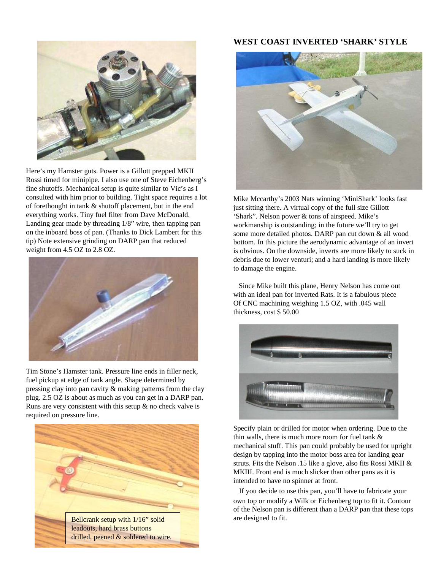

Here's my Hamster guts. Power is a Gillott prepped MKII Rossi timed for minipipe. I also use one of Steve Eichenberg's fine shutoffs. Mechanical setup is quite similar to Vic's as I consulted with him prior to building. Tight space requires a lot of forethought in tank & shutoff placement, but in the end everything works. Tiny fuel filter from Dave McDonald. Landing gear made by threading 1/8" wire, then tapping pan on the inboard boss of pan. (Thanks to Dick Lambert for this tip) Note extensive grinding on DARP pan that reduced weight from 4.5 OZ to 2.8 OZ.



Tim Stone's Hamster tank. Pressure line ends in filler neck, fuel pickup at edge of tank angle. Shape determined by pressing clay into pan cavity & making patterns from the clay plug. 2.5 OZ is about as much as you can get in a DARP pan. Runs are very consistent with this setup & no check valve is required on pressure line.



## **WEST COAST INVERTED 'SHARK' STYLE**



Mike Mccarthy's 2003 Nats winning 'MiniShark' looks fast just sitting there. A virtual copy of the full size Gillott 'Shark". Nelson power & tons of airspeed. Mike's workmanship is outstanding; in the future we'll try to get some more detailed photos. DARP pan cut down & all wood bottom. In this picture the aerodynamic advantage of an invert is obvious. On the downside, inverts are more likely to suck in debris due to lower venturi; and a hard landing is more likely to damage the engine.

Since Mike built this plane, Henry Nelson has come out with an ideal pan for inverted Rats. It is a fabulous piece Of CNC machining weighing 1.5 OZ, with .045 wall thickness, cost \$ 50.00



Specify plain or drilled for motor when ordering. Due to the thin walls, there is much more room for fuel tank & mechanical stuff. This pan could probably be used for upright design by tapping into the motor boss area for landing gear struts. Fits the Nelson .15 like a glove, also fits Rossi MKII & MKIII. Front end is much slicker than other pans as it is intended to have no spinner at front.

If you decide to use this pan, you'll have to fabricate your own top or modify a Wilk or Eichenberg top to fit it. Contour of the Nelson pan is different than a DARP pan that these tops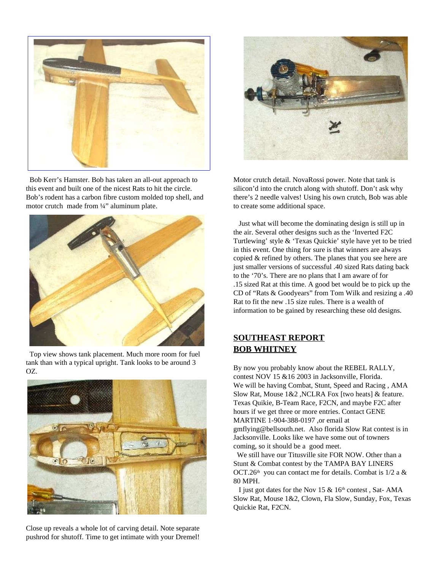

Bob Kerr's Hamster. Bob has taken an all-out approach to this event and built one of the nicest Rats to hit the circle. Bob's rodent has a carbon fibre custom molded top shell, and motor crutch made from 1/4" aluminum plate.



Top view shows tank placement. Much more room for fuel tank than with a typical upright. Tank looks to be around 3 OZ.



Close up reveals a whole lot of carving detail. Note separate pushrod for shutoff. Time to get intimate with your Dremel!



Motor crutch detail. NovaRossi power. Note that tank is silicon'd into the crutch along with shutoff. Don't ask why there's 2 needle valves! Using his own crutch, Bob was able to create some additional space.

Just what will become the dominating design is still up in the air. Several other designs such as the 'Inverted F2C Turtlewing' style & 'Texas Quickie' style have yet to be tried in this event. One thing for sure is that winners are always copied & refined by others. The planes that you see here are just smaller versions of successful .40 sized Rats dating back to the '70's. There are no plans that I am aware of for .15 sized Rat at this time. A good bet would be to pick up the CD of "Rats & Goodyears" from Tom Wilk and resizing a .40 Rat to fit the new .15 size rules. There is a wealth of information to be gained by researching these old designs.

## **SOUTHEAST REPORT BOB WHITNEY**

By now you probably know about the REBEL RALLY, contest NOV 15 &16 2003 in Jacksonville, Florida. We will be having Combat, Stunt, Speed and Racing , AMA Slow Rat, Mouse 1&2 ,NCLRA Fox [two heats] & feature. Texas Quikie, B-Team Race, F2CN, and maybe F2C after hours if we get three or more entries. Contact GENE MARTINE 1-904-388-0197 ,or email at gmflying@bellsouth.net. Also florida Slow Rat contest is in Jacksonville. Looks like we have some out of towners coming, so it should be a good meet.

We still have our Titusville site FOR NOW. Other than a Stunt & Combat contest by the TAMPA BAY LINERS OCT.26<sup>th</sup> you can contact me for details. Combat is 1/2 a & 80 MPH.

I just got dates for the Nov 15  $\&$  16<sup>th</sup> contest, Sat-AMA Slow Rat, Mouse 1&2, Clown, Fla Slow, Sunday, Fox, Texas Quickie Rat, F2CN.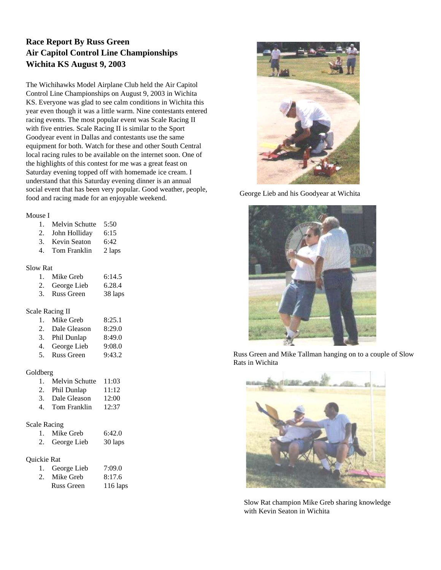## **Race Report By Russ Green Air Capitol Control Line Championships Wichita KS August 9, 2003**

The Wichihawks Model Airplane Club held the Air Capitol Control Line Championships on August 9, 2003 in Wichita KS. Everyone was glad to see calm conditions in Wichita this year even though it was a little warm. Nine contestants entered racing events. The most popular event was Scale Racing II with five entries. Scale Racing II is similar to the Sport Goodyear event in Dallas and contestants use the same equipment for both. Watch for these and other South Central local racing rules to be available on the internet soon. One of the highlights of this contest for me was a great feast on Saturday evening topped off with homemade ice cream. I understand that this Saturday evening dinner is an annual social event that has been very popular. Good weather, people, food and racing made for an enjoyable weekend.

#### Mouse I

| 1. | Melvin Schutte | 5:50 |
|----|----------------|------|
| 2. | John Holliday  | 6:15 |

| 3. | Kevin Seaton | 6:42 |
|----|--------------|------|

4. Tom Franklin 2 laps

#### Slow Rat

| 1. Mike Greb   | 6:14.5  |
|----------------|---------|
| 2. George Lieb | 6.28.4  |
| 3. Russ Green  | 38 laps |

#### Scale Racing II

|    | 1. Mike Greb   | 8:25.1 |
|----|----------------|--------|
| 2. | Dale Gleason   | 8:29.0 |
|    | 3. Phil Dunlap | 8:49.0 |
| 4. | George Lieb    | 9:08.0 |
|    | 5. Russ Green  | 9:43.2 |

Goldberg

| $100$ erg |                   |       |
|-----------|-------------------|-------|
|           | 1. Melvin Schutte | 11:03 |
|           | 2. Phil Dunlan    | 11:12 |

| -- |              | ----- |
|----|--------------|-------|
| 3. | Dale Gleason | 12:00 |

- 4. Tom Franklin 12:37
- Scale Racing

| 1. | Mike Greb      | 6:42.0  |
|----|----------------|---------|
|    | 2. George Lieb | 30 laps |

#### Quickie Rat

| 1. George Lieb | 7:09.0   |
|----------------|----------|
| 2. Mike Greb   | 8:17.6   |
| Russ Green     | 116 laps |



George Lieb and his Goodyear at Wichita



Russ Green and Mike Tallman hanging on to a couple of Slow Rats in Wichita



Slow Rat champion Mike Greb sharing knowledge with Kevin Seaton in Wichita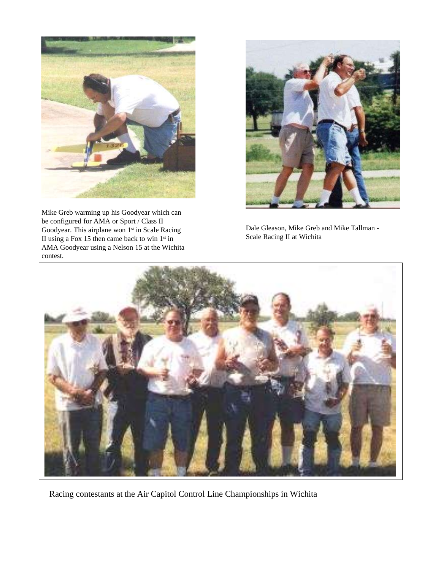

Mike Greb warming up his Goodyear which can be configured for AMA or Sport / Class II Goodyear. This airplane won 1<sup>st</sup> in Scale Racing II using a Fox 15 then came back to win  $1<sup>st</sup>$  in AMA Goodyear using a Nelson 15 at the Wichita contest.



Dale Gleason, Mike Greb and Mike Tallman - Scale Racing II at Wichita



Racing contestants at the Air Capitol Control Line Championships in Wichita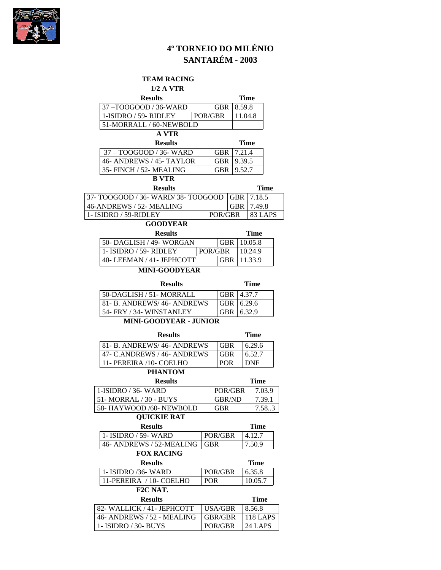

# **4º TORNEIO DO MILÉNIO SANTARÉM - 2003**

## **TEAM RACING**

## **1/2 A VTR**

| <b>Results</b>                            |         |                          |                      | <b>Time</b> |                 |  |
|-------------------------------------------|---------|--------------------------|----------------------|-------------|-----------------|--|
| 37-TOOGOOD / 36-WARD                      |         |                          | 8.59.8<br><b>GBR</b> |             |                 |  |
| 1-ISIDRO / 59- RIDLEY                     | POR/GBR |                          |                      | 11.04.8     |                 |  |
| 51-MORRALL / 60-NEWBOLD                   |         |                          |                      |             |                 |  |
| <b>A VTR</b>                              |         |                          |                      |             |                 |  |
| <b>Results</b>                            |         |                          |                      | <b>Time</b> |                 |  |
| 37 - TOOGOOD / 36- WARD                   |         | <b>GBR</b>               |                      | 7.21.4      |                 |  |
| 46- ANDREWS / 45- TAYLOR                  |         | <b>GBR</b>               |                      | 9.39.5      |                 |  |
| 35- FINCH / 52- MEALING                   |         | <b>GBR</b>               |                      | 9.52.7      |                 |  |
| <b>B</b> VTR                              |         |                          |                      |             |                 |  |
| <b>Results</b>                            |         |                          |                      |             | <b>Time</b>     |  |
| 37- TOOGOOD / 36- WARD/ 38- TOOGOOD   GBR |         |                          |                      |             | 7.18.5          |  |
| 46-ANDREWS / 52- MEALING                  |         |                          | GBR                  |             | 7.49.8          |  |
| 1- ISIDRO / 59-RIDLEY                     |         | POR/GBR                  |                      |             | 83 LAPS         |  |
| <b>GOODYEAR</b>                           |         |                          |                      |             |                 |  |
| <b>Results</b>                            |         |                          |                      |             | <b>Time</b>     |  |
| 50- DAGLISH / 49- WORGAN                  |         | <b>GBR</b>               |                      |             | 10.05.8         |  |
| 1- ISIDRO / 59- RIDLEY                    |         | POR/GBR                  |                      |             | 10.24.9         |  |
| 40- LEEMAN / 41- JEPHCOTT                 |         | <b>GBR</b>               |                      |             | 11.33.9         |  |
| <b>MINI-GOODYEAR</b>                      |         |                          |                      |             |                 |  |
|                                           |         |                          |                      |             |                 |  |
| <b>Results</b>                            |         |                          |                      |             | <b>Time</b>     |  |
| 50-DAGLISH / 51- MORRALL<br><b>GBR</b>    |         |                          | 4.37.7               |             |                 |  |
| 81- B. ANDREWS/46- ANDREWS<br><b>GBR</b>  |         |                          |                      | 6.29.6      |                 |  |
| 54- FRY / 34- WINSTANLEY<br><b>GBR</b>    |         |                          | 6.32.9               |             |                 |  |
| <b>MINI-GOODYEAR - JUNIOR</b>             |         |                          |                      |             |                 |  |
| <b>Results</b>                            |         |                          |                      |             | <b>Time</b>     |  |
| 81- B. ANDREWS/ 46- ANDREWS               |         | <b>GBR</b>               |                      |             | 6.29.6          |  |
| 47- C.ANDREWS / 46- ANDREWS               |         |                          | GBR<br>6.52.7        |             |                 |  |
| 11- PEREIRA /10- COELHO                   |         | <b>POR</b><br><b>DNF</b> |                      |             |                 |  |
| <b>PHANTOM</b>                            |         |                          |                      |             |                 |  |
| <b>Results</b>                            |         |                          |                      |             | <b>Time</b>     |  |
| 1-ISIDRO / 36- WARD                       |         | POR/GBR                  |                      |             | 7.03.9          |  |
| 51- MORRAL / 30 - BUYS                    |         | <b>GBR/ND</b>            |                      |             | 7.39.1          |  |
| 58- HAYWOOD /60- NEWBOLD                  |         | <b>GBR</b>               |                      | 7.58.3      |                 |  |
| <b>QUICKIE RAT</b>                        |         |                          |                      |             |                 |  |
|                                           |         |                          |                      |             |                 |  |
| <b>Results</b>                            |         |                          |                      |             | <b>Time</b>     |  |
| 1- ISIDRO / 59- WARD                      |         | POR/GBR                  |                      |             | 4.12.7          |  |
| 46- ANDREWS / 52-MEALING                  |         | <b>GBR</b>               |                      |             | 7.50.9          |  |
| <b>FOX RACING</b>                         |         |                          |                      |             |                 |  |
| <b>Results</b>                            |         |                          |                      |             | <b>Time</b>     |  |
| 1- ISIDRO /36- WARD                       |         | POR/GBR                  |                      |             | 6.35.8          |  |
| 11-PEREIRA / 10- COELHO                   |         | <b>POR</b>               |                      |             | 10.05.7         |  |
| F2C NAT.                                  |         |                          |                      |             |                 |  |
| <b>Results</b>                            |         |                          |                      |             | <b>Time</b>     |  |
| 82- WALLICK / 41- JEPHCOTT                |         | <b>USA/GBR</b>           |                      |             | 8.56.8          |  |
| 46- ANDREWS / 52 - MEALING                |         | GBR/GBR                  |                      |             | <b>118 LAPS</b> |  |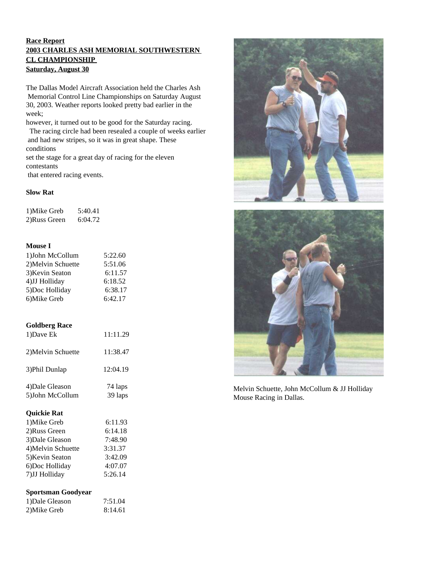#### **Race Report 2003 CHARLES ASH MEMORIAL SOUTHWESTERN CL CHAMPIONSHIP Saturday, August 30**

The Dallas Model Aircraft Association held the Charles Ash Memorial Control Line Championships on Saturday August 30, 2003. Weather reports looked pretty bad earlier in the week;

however, it turned out to be good for the Saturday racing.

The racing circle had been resealed a couple of weeks earlier and had new stripes, so it was in great shape. These conditions

set the stage for a great day of racing for the eleven contestants

that entered racing events.

#### **Slow Rat**

| 1) Mike Greb | 5:40.41 |
|--------------|---------|
| 2)Russ Green | 6:04.72 |

#### **Mouse I**

| 1) John McCollum   | 5:22.60 |
|--------------------|---------|
| 2) Melvin Schuette | 5:51.06 |
| 3) Kevin Seaton    | 6:11.57 |
| 4)JJ Holliday      | 6:18.52 |
| 5)Doc Holliday     | 6:38.17 |
| 6) Mike Greb       | 6:42.17 |

#### **Goldberg Race**

| 1)Dave Ek          | 11:11.29 |
|--------------------|----------|
| 2) Melvin Schuette | 11:38.47 |
| 3) Phil Dunlap     | 12:04.19 |
| 4) Dale Gleason    | 74 laps  |
| 5) John McCollum   | 39 laps  |

#### **Quickie Rat**

| 6:11.93 |
|---------|
| 6:14.18 |
| 7:48.90 |
| 3:31.37 |
| 3:42.09 |
| 4:07.07 |
| 5:26.14 |
|         |

#### **Sportsman Goodyear**

| 1) Dale Gleason | 7:51.04 |
|-----------------|---------|
| 2)Mike Greb     | 8:14.61 |





Melvin Schuette, John McCollum & JJ Holliday Mouse Racing in Dallas.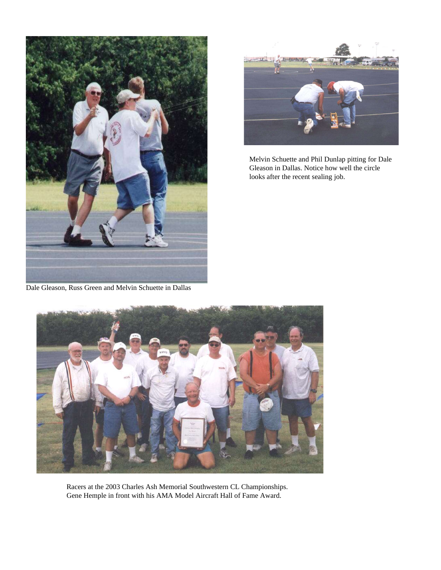

Dale Gleason, Russ Green and Melvin Schuette in Dallas



Melvin Schuette and Phil Dunlap pitting for Dale Gleason in Dallas. Notice how well the circle looks after the recent sealing job.



Racers at the 2003 Charles Ash Memorial Southwestern CL Championships. Gene Hemple in front with his AMA Model Aircraft Hall of Fame Award.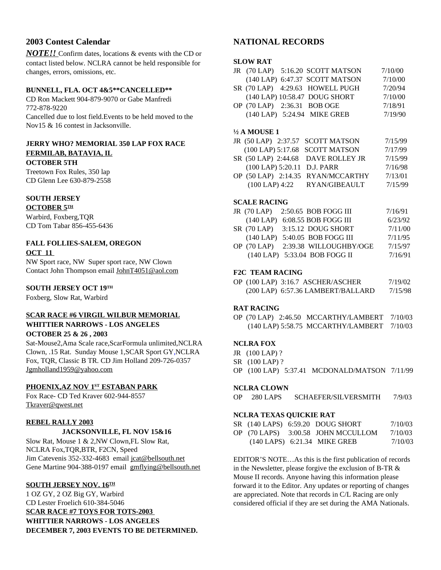## **2003 Contest Calendar**

*NOTE!!* Confirm dates, locations & events with the CD or contact listed below. NCLRA cannot be held responsible for changes, errors, omissions, etc.

#### **BUNNELL, FLA. OCT 4&5\*\*CANCELLED\*\***

CD Ron Mackett 904-879-9070 or Gabe Manfredi 772-878-9220 Cancelled due to lost field.Events to be held moved to the Nov15 & 16 contest in Jacksonville.

## **JERRY WHO? MEMORIAL 350 LAP FOX RACE FERMILAB, BATAVIA, IL**

**OCTOBER 5TH**

Treetown Fox Rules, 350 lap CD Glenn Lee 630-879-2558

## **SOUTH JERSEY**

<u>OCTOBER 5℡</u> Warbird, Foxberg,TQR CD Tom Tabar 856-455-6436

## **FALL FOLLIES-SALEM, OREGON OCT 11**

NW Sport race, NW Super sport race, NW Clown Contact John Thompson email JohnT4051@aol.com

#### $\boldsymbol{\mathrm{SOUTH} \text{ JERSEY OCT 19^{\text{TH}}}}$

Foxberg, Slow Rat, Warbird

#### **SCAR RACE #6 VIRGIL WILBUR MEMORIAL WHITTIER NARROWS - LOS ANGELES OCTOBER 25 & 26 , 2003**

Sat-Mouse2,Ama Scale race,ScarFormula unlimited,NCLRA Clown, .15 Rat. Sunday Mouse 1,SCAR Sport GY,NCLRA Fox, TQR, Classic B TR. CD Jim Holland 209-726-0357 Jgmholland1959@yahoo.com

#### **PHOENIX,AZ NOV 1 ST ESTABAN PARK**

Fox Race- CD Ted Kraver 602-944-8557 Tkraver@qwest.net

#### **REBEL RALLY 2003**

#### **JACKSONVILLE, FL NOV 15&16**

Slow Rat, Mouse 1 & 2,NW Clown,FL Slow Rat, NCLRA Fox,TQR,BTR, F2CN, Speed Jim Catevenis 352-332-4683 email jcat@bellsouth.net Gene Martine 904-388-0197 email gmflying@bellsouth.net

#### **SOUTH JERSEY NOV. 16 TH**

1 OZ GY, 2 OZ Big GY, Warbird CD Lester Froelich 610-384-5046

**SCAR RACE #7 TOYS FOR TOTS-2003 WHITTIER NARROWS - LOS ANGELES DECEMBER 7, 2003 EVENTS TO BE DETERMINED.**

## **NATIONAL RECORDS**

#### **SLOW RAT**

|  | JR (70 LAP) 5:16.20 SCOTT MATSON | 7/10/00 |
|--|----------------------------------|---------|
|  | (140 LAP) 6:47.37 SCOTT MATSON   | 7/10/00 |
|  | SR (70 LAP) 4:29.63 HOWELL PUGH  | 7/20/94 |
|  | (140 LAP) 10:58.47 DOUG SHORT    | 7/10/00 |
|  | OP (70 LAP) 2:36.31 BOB OGE      | 7/18/91 |
|  | (140 LAP) 5:24.94 MIKE GREB      | 7/19/90 |
|  |                                  |         |

#### **½ A MOUSE 1**

|  | JR (50 LAP) 2:37.57 SCOTT MATSON   | 7/15/99 |
|--|------------------------------------|---------|
|  | (100 LAP) 5:17.68 SCOTT MATSON     | 7/17/99 |
|  | SR (50 LAP) 2:44.68 DAVE ROLLEY JR | 7/15/99 |
|  | (100 LAP) 5:20.11 D.J. PARR        | 7/16/98 |
|  | OP (50 LAP) 2:14.35 RYAN/MCCARTHY  | 7/13/01 |
|  | (100 LAP) 4:22 RYAN/GIBEAULT       | 7/15/99 |
|  |                                    |         |

#### **SCALE RACING**

|  | JR (70 LAP) 2:50.65 BOB FOGG III   | 7/16/91 |
|--|------------------------------------|---------|
|  | (140 LAP) 6:08.55 BOB FOGG III     | 6/23/92 |
|  | SR (70 LAP) 3:15.12 DOUG SHORT     | 7/11/00 |
|  | (140 LAP) 5:40.05 BOB FOGG III     | 7/11/95 |
|  | OP (70 LAP) 2:39.38 WILLOUGHBY/OGE | 7/15/97 |
|  | (140 LAP) 5:33.04 BOB FOGG II      | 7/16/91 |

#### **F2C TEAM RACING**

|  | OP (100 LAP) 3:16.7 ASCHER/ASCHER | 7/19/02 |
|--|-----------------------------------|---------|
|  | (200 LAP) 6:57.36 LAMBERT/BALLARD | 7/15/98 |

#### **RAT RACING**

OP (70 LAP) 2:46.50 MCCARTHY/LAMBERT 7/10/03 (140 LAP) 5:58.75 MCCARTHY/LAMBERT 7/10/03

#### **NCLRA FOX**

JR (100 LAP) ?

- SR (100 LAP) ?
- OP (100 LAP) 5:37.41 MCDONALD/MATSON 7/11/99

#### **NCLRA CLOWN**

OP 280 LAPS SCHAEFER/SILVERSMITH 7/9/03

#### **NCLRA TEXAS QUICKIE RAT**

|  | SR (140 LAPS) 6:59.20 DOUG SHORT   | 7/10/03 |
|--|------------------------------------|---------|
|  | OP (70 LAPS) 3:00.58 JOHN MCCULLOM | 7/10/03 |
|  | $(140$ LAPS $)$ 6:21.34 MIKE GREB  | 7/10/03 |

EDITOR'S NOTE…As this is the first publication of records in the Newsletter, please forgive the exclusion of B-TR & Mouse II records. Anyone having this information please forward it to the Editor. Any updates or reporting of changes are appreciated. Note that records in C/L Racing are only considered official if they are set during the AMA Nationals.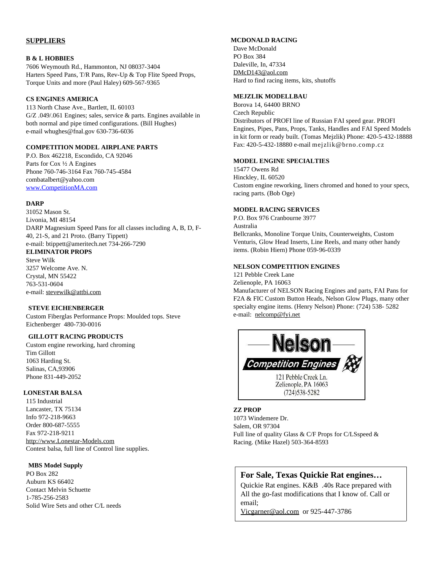#### **SUPPLIERS**

#### **B & L HOBBIES**

7606 Weymouth Rd., Hammonton, NJ 08037-3404 Harters Speed Pans, T/R Pans, Rev-Up & Top Flite Speed Props, Torque Units and more (Paul Haley) 609-567-9365

#### **CS ENGINES AMERICA**

113 North Chase Ave., Bartlett, IL 60103 G/Z .049/.061 Engines; sales, service & parts. Engines available in both normal and pipe timed configurations. (Bill Hughes) e-mail whughes@fnal.gov 630-736-6036

#### **COMPETITION MODEL AIRPLANE PARTS**

P.O. Box 462218, Escondido, CA 92046 Parts for Cox ½ A Engines Phone 760-746-3164 Fax 760-745-4584 combatalbert@yahoo.com www.CompetitionMA.com

#### **DARP**

31052 Mason St. Livonia, MI 48154 DARP Magnesium Speed Pans for all classes including A, B, D, F-40, 21-S, and 21 Proto. (Barry Tippett) e-mail: btippett@ameritech.net 734-266-7290

## **ELIMINATOR PROPS**

Steve Wilk 3257 Welcome Ave. N. Crystal, MN 55422 763-531-0604 e-mail: stevewilk@attbi.com

#### **STEVE EICHENBERGER**

Custom Fiberglas Performance Props: Moulded tops. Steve Eichenberger 480-730-0016

#### **GILLOTT RACING PRODUCTS**

Custom engine reworking, hard chroming Tim Gillott 1063 Harding St. Salinas, CA,93906 Phone 831-449-2052

#### **LONESTAR BALSA**

115 Industrial Lancaster, TX 75134 Info 972-218-9663 Order 800-687-5555 Fax 972-218-9211 http://www.Lonestar-Models.com Contest balsa, full line of Control line supplies.

#### **MBS Model Supply**

PO Box 282 Auburn KS 66402 Contact Melvin Schuette 1-785-256-2583 Solid Wire Sets and other C/L needs

#### **MCDONALD RACING**

Dave McDonald PO Box 384 Daleville, In, 47334 DMcD143@aol.com Hard to find racing items, kits, shutoffs

#### **MEJZLIK MODELLBAU**

Borova 14, 64400 BRNO Czech Republic Distributors of PROFI line of Russian FAI speed gear. PROFI Engines, Pipes, Pans, Props, Tanks, Handles and FAI Speed Models in kit form or ready built. (Tomas Mejzlik) Phone: 420-5-432-18888 Fax: 420-5-432-18880 e-mail mejzlik@brno.comp.cz

#### **MODEL ENGINE SPECIALTIES**

15477 Owens Rd Hinckley, IL 60520 Custom engine reworking, liners chromed and honed to your specs, racing parts. (Bob Oge)

#### **MODEL RACING SERVICES**

P.O. Box 976 Cranbourne 3977 Australia Bellcranks, Monoline Torque Units, Counterweights, Custom Venturis, Glow Head Inserts, Line Reels, and many other handy items. (Robin Hiern) Phone 059-96-0339

#### **NELSON COMPETITION ENGINES**

121 Pebble Creek Lane Zelienople, PA 16063 Manufacturer of NELSON Racing Engines and parts, FAI Pans for F2A & FIC Custom Button Heads, Nelson Glow Plugs, many other specialty engine items. (Henry Nelson) Phone: (724) 538- 5282 e-mail: nelcomp@fyi.net



#### **ZZ PROP**

1073 Windemere Dr. Salem, OR 97304 Full line of quality Glass & C/F Props for C/LSspeed & Racing. (Mike Hazel) 503-364-8593

## **For Sale, Texas Quickie Rat engines…**

Quickie Rat engines. K&B .40s Race prepared with All the go-fast modifications that I know of. Call or email;

Vicgarner@aol.com or 925-447-3786